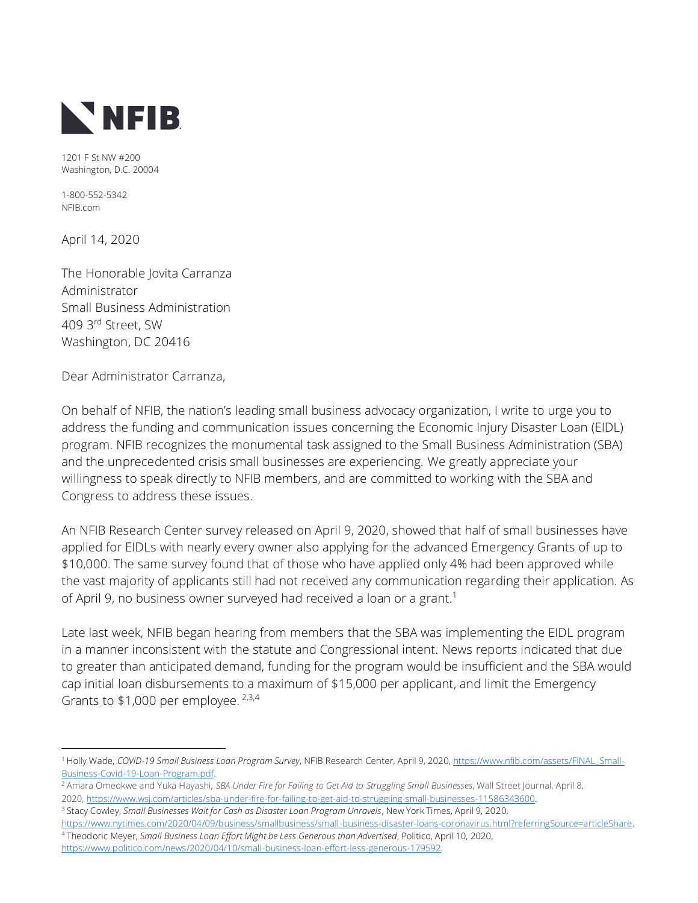

1201 F St NW #200 Washington, D.C. 20004

1-800-552-5342 NFIB.com

April 14, 2020

The Honorable Jovita Carranza Administrator Small Business Administration 409 3rd Street, SW Washington, DC 20416

Dear Administrator Carranza,

On behalf of NFIB, the nation's leading small business advocacy organization, I write to urge you to address the funding and communication issues concerning the Economic Injury Disaster Loan (EIDL) program. NFIB recognizes the monumental task assigned to the Small Business Administration (SBA) and the unprecedented crisis small businesses are experiencing. We greatly appreciate your willingness to speak directly to NFIB members, and are committed to working with the SBA and Congress to address these issues.

An NFIB Research Center survey released on April 9, 2020, showed that half of small businesses have applied for EIDLs with nearly every owner also applying for the advanced Emergency Grants of up to \$10,000. The same survey found that of those who have applied only 4% had been approved while the vast majority of applicants still had not received any communication regarding their application. As of April 9, no business owner surveyed had received a loan or a grant.<sup>1</sup>

Late last week, NFIB began hearing from members that the SBA was implementing the EIDL program in a manner inconsistent with the statute and Congressional intent. News reports indicated that due to greater than anticipated demand, funding for the program would be insufficient and the SBA would cap initial loan disbursements to a maximum of \$15,000 per applicant, and limit the Emergency Grants to  $$1,000$  per employee. <sup>2,3,4</sup>

- <sup>2</sup> Amara Omeokwe and Yuka Hayashi, *SBA Under Fire for Failing to Get Aid to Struggling Small Businesses*, Wall Street Journal, April 8, 2020, [https://www.wsj.com/articles/sba-under-fire-for-failing-to-get-aid-to-struggling-small-businesses-11586343600.](https://www.wsj.com/articles/sba-under-fire-for-failing-to-get-aid-to-struggling-small-businesses-11586343600)
- <sup>3</sup> Stacy Cowley, *Small Businesses Wait for Cash as Disaster Loan Program Unravels*, New York Times, April 9, 2020, [https://www.nytimes.com/2020/04/09/business/smallbusiness/small-business-disaster-loans-coronavirus.html?referringSource=articleShare.](https://www.nytimes.com/2020/04/09/business/smallbusiness/small-business-disaster-loans-coronavirus.html?referringSource=articleShare)
- <sup>4</sup> Theodoric Meyer, *Small Business Loan Effort Might be Less Generous than Advertised*, Politico, April 10, 2020, [https://www.politico.com/news/2020/04/10/small-business-loan-effort-less-generous-179592.](https://www.politico.com/news/2020/04/10/small-business-loan-effort-less-generous-179592)

<sup>1</sup> Holly Wade, *COVID-19 Small Business Loan Program Survey*, NFIB Research Center, April 9, 2020, [https://www.nfib.com/assets/FINAL\\_Small-](https://www.nfib.com/assets/FINAL_Small-Business-Covid-19-Loan-Program.pdf)[Business-Covid-19-Loan-Program.pdf.](https://www.nfib.com/assets/FINAL_Small-Business-Covid-19-Loan-Program.pdf)